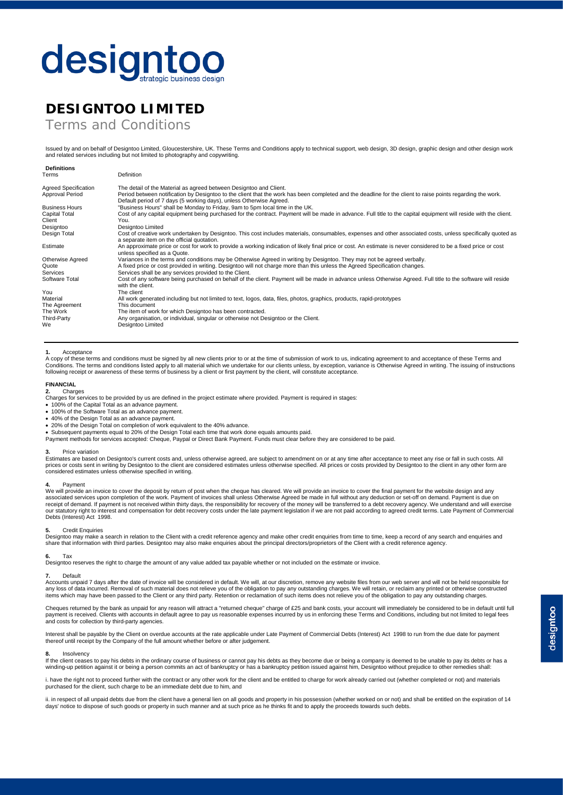# designtoo

## **DESIGNTOO LIMITED**

Terms and Conditions

Issued by and on behalf of Designtoo Limited, Gloucestershire, UK. These Terms and Conditions apply to technical support, web design, 3D design, graphic design and other design work and related services including but not limited to photography and copywriting.

| Terms                                         | Definition                                                                                                                                                                                                                                                                                               |
|-----------------------------------------------|----------------------------------------------------------------------------------------------------------------------------------------------------------------------------------------------------------------------------------------------------------------------------------------------------------|
| Agreed Specification<br>Approval Period       | The detail of the Material as agreed between Designtoo and Client.<br>Period between notification by Designtoo to the client that the work has been completed and the deadline for the client to raise points regarding the work.<br>Default period of 7 days (5 working days), unless Otherwise Agreed. |
| <b>Business Hours</b><br><b>Capital Total</b> | "Business Hours" shall be Monday to Friday, 9am to 5pm local time in the UK.<br>Cost of any capital equipment being purchased for the contract. Payment will be made in advance. Full title to the capital equipment will reside with the client.                                                        |
| Client<br>Designtoo                           | You.<br>Designtoo Limited                                                                                                                                                                                                                                                                                |
| Design Total                                  | Cost of creative work undertaken by Designtoo. This cost includes materials, consumables, expenses and other associated costs, unless specifically quoted as<br>a separate item on the official quotation.                                                                                               |
| Estimate                                      | An approximate price or cost for work to provide a working indication of likely final price or cost. An estimate is never considered to be a fixed price or cost<br>unless specified as a Quote.                                                                                                         |
| <b>Otherwise Agreed</b>                       | Variances in the terms and conditions may be Otherwise Agreed in writing by Designtoo. They may not be agreed verbally.                                                                                                                                                                                  |
| Quote                                         | A fixed price or cost provided in writing. Designtoo will not charge more than this unless the Agreed Specification changes.                                                                                                                                                                             |
| Services                                      | Services shall be any services provided to the Client.                                                                                                                                                                                                                                                   |
| Software Total                                | Cost of any software being purchased on behalf of the client. Payment will be made in advance unless Otherwise Agreed. Full title to the software will reside<br>with the client.                                                                                                                        |
| You                                           | The client                                                                                                                                                                                                                                                                                               |
| Material                                      | All work generated including but not limited to text, logos, data, files, photos, graphics, products, rapid-prototypes                                                                                                                                                                                   |
| The Agreement                                 | This document                                                                                                                                                                                                                                                                                            |
| The Work                                      | The item of work for which Designtoo has been contracted.                                                                                                                                                                                                                                                |
| Third-Party                                   | Any organisation, or individual, singular or otherwise not Designtoo or the Client.                                                                                                                                                                                                                      |
| We                                            | Designtoo Limited                                                                                                                                                                                                                                                                                        |

#### **1.** Acceptance

A copy of these terms and conditions must be signed by all new clients prior to or at the time of submission of work to us, indicating agreement to and acceptance of these Terms and<br>Conditions. The terms and conditions lis

### **FINANCIAL**

**Definitions**

**2.** Charges Charges for services to be provided by us are defined in the project estimate where provided. Payment is required in stages:

- 100% of the Capital Total as an advance payment.
- 100% of the Software Total as an advance payment.
- 40% of the Design Total as an advance payment.
- 20% of the Design Total on completion of work equivalent to the 40% advance.
- Subsequent payments equal to 20% of the Design Total each time that work done equals amounts paid.
- Payment methods for services accepted: Cheque, Paypal or Direct Bank Payment. Funds must clear before they are considered to be paid.

#### **3.** Price variation

Estimates are based on Designtoo's current costs and, unless otherwise agreed, are subject to amendment on or at any time after acceptance to meet any rise or fall in such costs. All prices or costs sent in writing by Designtoo to the client are considered estimates unless otherwise specified. All prices or costs provided by Designtoo to the client in any other form are<br>considered estimates unless othe

**4.** Payment<br>We will provide an invoice to cover the deposit by return of post when the cheque has cleared. We will provide an invoice to cover the final payment for the website design and any<br>associated services upon comp our statutory right to interest and compensation for debt recovery costs under the late payment legislation if we are not paid according to agreed credit terms. Late Payment of Commercial Debts (Interest) Act 1998.

#### **5.** Credit Enquiries

Designtoo may make a search in relation to the Client with a credit reference agency and make other credit enquiries from time to time, keep a record of any search and enquiries and<br>share that information with third partie

### **6.** Tax

Designtoo reserves the right to charge the amount of any value added tax payable whether or not included on the estimate or invoice.

### **7.** Default

Accounts unpaid 7 days after the date of invoice will be considered in default. We will, at our discretion, remove any website files from our web server and will not be held responsible for any loss of data incurred. Removal of such material does not relieve you of the obligation to pay any outstanding charges. We will retain, or reclaim any printed or otherwise constructed<br>items which may have been passed to

Cheques returned by the bank as unpaid for any reason will attract a "returned cheque" charge of £25 and bank costs, your account will immediately be considered to be in default until full<br>payment is received. Clients with and costs for collection by third-party agencies.

Interest shall be payable by the Client on overdue accounts at the rate applicable under Late Payment of Commercial Debts (Interest) Act 1998 to run from the due date for payment thereof until receipt by the Company of the full amount whether before or after judgement.

#### **8.** Insolvency

If the client ceases to pay his debts in the ordinary course of business or cannot pay his debts as they become due or being a company is deemed to be unable to pay its debts or has a winding-up petition against it or being a person commits an act of bankruptcy or has a bankruptcy petition issued against him, Designtoo without prejudice to other remedies shall:

i. baye the right not to proceed further with the contract or any other work for the client and be entitled to charge for work and park is the completed or not) and materials purchased for the client, such charge to be an immediate debt due to him, and

ii. in respect of all unpaid debts due from the client have a general lien on all goods and property in his possession (whether worked on or not) and shall be entitled on the expiration of 14 days' notice to dispose of such goods or property in such manner and at such price as he thinks fit and to apply the proceeds towards such debts.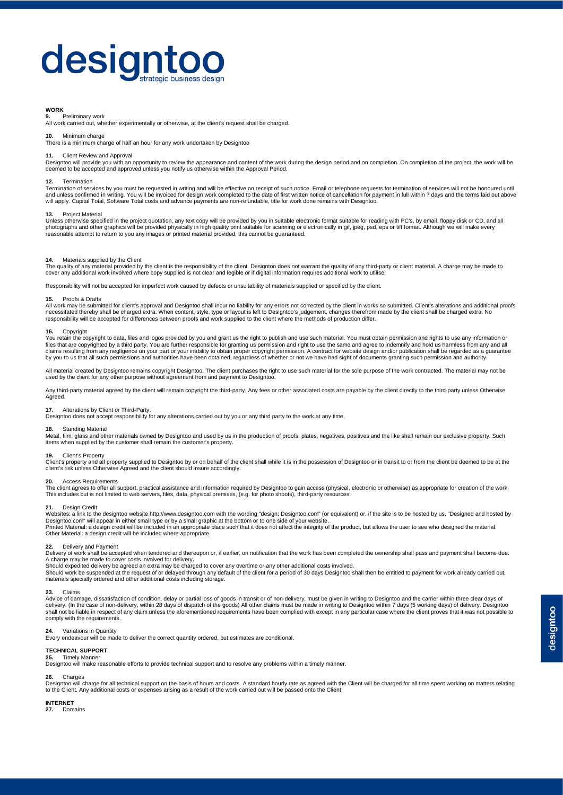# designtoo

#### **WORK**

**9.** Preliminary work

All work carried out, whether experimentally or otherwise, at the client's request shall be charged.

#### **10.** Minimum charge

There is a minimum charge of half an hour for any work undertaken by Designtoo

#### **Client Review and Approval**

The Content world will provide you with an opportunity to review the appearance and content of the work during the design period and on completion. On completion of the project, the work will be project, the work will be deemed to be accepted and approved unless you notify us otherwise within the Approval Period.

#### **12.** Termination

Termination of services by you must be requested in writing and will be effective on receipt of such notice. Email or telephone requests for termination of services will not be honoured until and unless confirmed in writing. You will be invoiced for design work completed to the date of first written notice of cancellation for payment in full within 7 days and the terms laid out above<br>will apply. Capital Total,

#### **13.** Project Material

Unless otherwise specified in the project quotation, any text copy will be provided by you in suitable electronic format suitable for reading with PC's, by email, floppy disk or CD, and all<br>photographs and other graphics w

#### **14.** Materials supplied by the Client

The quality of any material provided by the client is the responsibility of the client. Designtoo does not warrant the quality of any third-party or client material. A charge may be made to cover any additional work involved where copy supplied is not clear and legible or if digital information requires additional work to utilise.

Responsibility will not be accepted for imperfect work caused by defects or unsuitability of materials supplied or specified by the client.

#### **15.** Proofs & Drafts

All work may be submitted for client's approval and Designtoo shall incur no liability for any errors not corrected by the client in works so submitted. Client's alterations and additional proofs necessitated thereby shall be charged extra. When content, style, type or layout is left to Designtoo's judgement, changes therefrom made by the client shall be charged extra. No<br>responsibility will be accepted for differe

#### **16.** Copyright

You retain the copyright to data, files and logos provided by you and grant us the right to publish and use such material. You must obtain permission and rights to use any information or<br>files that are copyrighted by a thi

All material created by Designtoo remains copyright Designtoo. The client purchases the right to use such material for the sole purpose of the work contracted. The material may not be used by the client for any other purpose without agreement from and payment to Designtoo.

Any third-party material agreed by the client will remain copyright the third-party. Any fees or other associated costs are payable by the client directly to the third-party unless Otherwise Agreed.

**17.** Alterations by Client or Third-Party.<br>Designtoo does not accept responsibility for any alterations carried out by you or any third party to the work at any time.

#### **18.** Standing Material

Metal, film, glass and other materials owned by Designtoo and used by us in the production of proofs, plates, negatives, positives and the like shall remain our exclusive property. Such<br>items when supplied by the customer

## **19.** Client's Property

Client's property and all property supplied to Designtoo by or on behalf of the client shall while it is in the possession of Designtoo or in transit to or from the client be deemed to be at the client's risk unless Otherwise Agreed and the client should insure accordingly.

#### **20.** Access Requirements

The client agrees to offer all support, practical assistance and information required by Designtoo to gain access (physical, electronic or otherwise) as appropriate for creation of the work. This includes but is not limited to web servers, files, data, physical premises, (e.g. for photo shoots), third-party resources.

#### **21.** Design Credit

Websites: a link to the designtoo website http://www.designtoo.com with the wording "design: Designtoo.com" (or equivalent) or, if the site is to be hosted by us, "Designed and hosted by Designtoo.com" will appear in either small type or by a small graphic at the bottom or to one side of your website.<br>Printed Material: a design credit will be included in an appropriate place such that it does not affect th Other Material: a design credit will be included where appropriate.

#### **22.** Delivery and Payment

Delivery of work shall be accepted when tendered and thereupon or, if earlier, on notification that the work has been completed the ownership shall pass and payment shall become due. A charge may be made to cover costs involved for delivery.

Should expedited delivery be agreed an extra may be charged to cover any overtime or any other additional costs involved.<br>Should work be suspended at the request of or delayed through any default of the client for a period materials specially ordered and other additional costs including storage.

#### **23.** Claims

Advice of damage, dissatisfaction of condition, delay or partial loss of goods in transit or of non-delivery, must be given in writing to Designtoo and the carrier within three clear days of delivery. (In the case of non-delivery, within 28 days of dispatch of the goods) All other claims must be made in writing to Designtoo within 7 days (5 working days) of delivery. Designtoo<br>shall not be liable in respect of comply with the requirements.

#### **24.** Variations in Quantity

Every endeavour will be made to deliver the correct quantity ordered, but estimates are conditional.

#### **TECHNICAL SUPPORT**

**25.** Timely Manner Designtoo will make reasonable efforts to provide technical support and to resolve any problems within a timely manner.

#### **26.** Charges

Designtoo will charge for all technical support on the basis of hours and costs. A standard hourly rate as agreed with the Client will be charged for all time spent working on matters relating to the Client. Any additional costs or expenses arising as a result of the work carried out will be passed onto the Client.

#### **INTERNET**

**27.** Domains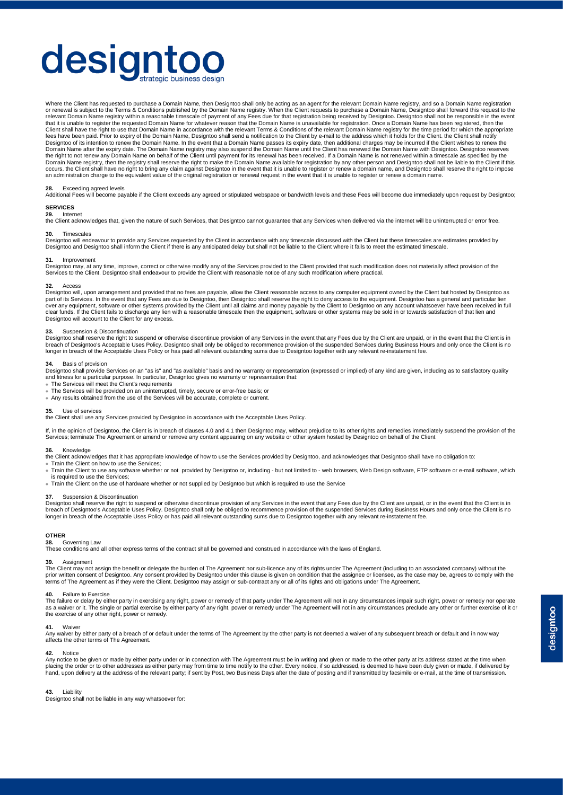# designto

Where the Client has requested to purchase a Domain Name, then Designtoo shall only be acting as an agent for the relevant Domain Name registry, and so a Domain Name registration or renewal is subject to the Terms & Conditions published by the Domain Name registry. When the Client requests to purchase a Domain Name, Designtoo shall forward this request to the<br>relevant Domain Name registry within a that it is unable to register the requested Domain Name for whatever reason that the Domain Name is unavailable for registration. Once a Domain Name has been registered, then the<br>Client shall have the right to use that Dom fees have been paid. Prior to expiry of the Domain Name, Designtoo shall send a notification to the Client by e-mail to the address which it holds for the Client, the Client shall notify Designtoo of its intention to renew the Domain Name. In the event that a Domain Name passes its expiry date, then additional charges may be incurred if the Client wishes to renew the Domain Name after the expiry date. The Domain Name registry may also suspend the Domain Name until the Client has renewed the Domain Name with Designtoo. Designtoo reserves the right to not renew any Domain Name on behalf of the Client until payment for its renewal has been received. If a Domain Name is not renewed within a timescale as specified by the<br>Domain Name registry, then the registry occurs. the Client shall have no right to bring any claim against Designtoo in the event that it is unable to register or renew a domain name, and Designtoo shall reserve the right to impose<br>an administration charge to the

#### **28.** Exceeding agreed levels

Additional Fees will become payable if the Client exceeds any agreed or stipulated webspace or bandwidth levels and these Fees will become due immediately upon request by Designtoo;

#### **SERVICES 29.** Internet

the Client acknowledges that, given the nature of such Services, that Designtoo cannot guarantee that any Services when delivered via the internet will be uninterrupted or error free.

### **30.** Timescales

Designtoo will endeavour to provide any Services requested by the Client in accordance with any timescale discussed with the Client but these timescales are estimates provided by<br>Designtoo and Designtoo shall inform the Cl

#### **31.** Improvement

Designtoo may, at any time, improve, correct or otherwise modify any of the Services provided to the Client provided that such modification does not materially affect provision of the<br>Services to the Client. Designtoo shal

**32.** Access<br>Designtoo will, upon arrangement and provided that no fees are payable, allow the Client reasonable access to any computer equipment owned by the Client but hosted by Designtoo as part of its Services. In the event that any Fees are due to Designtoo, then Designtoo shall reserve the right to deny access to the equipment. Designtoo has a general and particular lien over any equipment, software or other systems provided by the Client until all claims and money payable by the Client to Designtoo on any account whatsoever have been received in full<br>clear funds. If the Client fails to di

#### **33.** Suspension & Discontinuation

Designtoo shall reserve the right to suspend or otherwise discontinue provision of any Services in the event that any Fees due by the Client are unpaid, or in the event that the Client is in<br>breach of Designtoo's Acceptabl longer in breach of the Acceptable Uses Policy or has paid all relevant outstanding sums due to Designtoo together with any relevant re-instatement fee.

#### **34.** Basis of provision

Designtoo shall provide Services on an "as is" and "as available" basis and no warranty or representation (expressed or implied) of any kind are given, including as to satisfactory quality and fitness for a particular purpose. In particular, Designtoo gives no warranty or representation that: • The Services will meet the Client's requirements

• The Services will be provided on an uninterrupted, timely, secure or error-free basis; or

• Any results obtained from the use of the Services will be accurate, complete or current.

#### **35.** Use of services

the Client shall use any Services provided by Designtoo in accordance with the Acceptable Uses Policy.

If, in the opinion of Designtoo, the Client is in breach of clauses 4.0 and 4.1 then Designtoo may, without prejudice to its other rights and remedies immediately suspend the provision of the<br>Services; terminate The Agreem

**36.** Knowledge<br>the Client acknowledges that it has appropriate knowledge of how to use the Services provided by Designtoo, and acknowledges that Designtoo shall have no obligation to:

• Train the Client on how to use the Services;

• Train the Client to use any software whether or not provided by Designtoo or, including - but not limited to - web browsers, Web Design software, FTP software or e-mail software, which is required to use the Services;

• Train the Client on the use of hardware whether or not supplied by Designtoo but which is required to use the Service

#### **37.** Suspension & Discontinuation

Designtoo shall reserve the right to suspend or otherwise discontinue provision of any Services in the event that any Fees due by the Client are unpaid, or in the event that the Client is in breach of Designtoo's Acceptable Uses Policy. Designtoo shall only be obliged to recommence provision of the suspended Services during Business Hours and only once the Client is no longer in breach of the Acceptable Uses Policy or has paid all relevant outstanding sums due to Designtoo together with any relevant re-instatement fee.

## **OTHER**<br>38. Governing Law

**38.** Governing Law<br>These conditions and all other express terms of the contract shall be governed and construed in accordance with the laws of England.

#### **39.** Assignment

The Client may not assign the benefit or delegate the burden of The Agreement nor sub-licence any of its rights under The Agreement (including to an associated company) without the<br>prior written consent of Designtoo. Any c terms of The Agreement as if they were the Client. Designtoo may assign or sub-contract any or all of its rights and obligations under The Agreement.

#### **40.** Failure to Exercise

The failure or delay by either party in exercising any right, power or remedy of that party under The Agreement will not in any circumstances impair such right, power or remedy nor operate<br>as a waiver or it. The single or the exercise of any other right, power or remedy.

#### **41.** Waiver

Any waiver by either party of a breach of or default under the terms of The Agreement by the other party is not deemed a waiver of any subsequent breach or default and in now way affects the other terms of The Agreement.

#### **42.** Notice

Any notice to be given or made by either party under or in connection with The Agreement must be in writing and given or made to the other party at its address stated at the time when placing the order or to other addresses as either party may from time to time notify to the other. Every notice, if so addressed, is deemed to have been duly given or made, if delivered by<br>hand, upon delivery at the addres

#### **43.** Liability

Designtoo shall not be liable in any way whatsoever for: